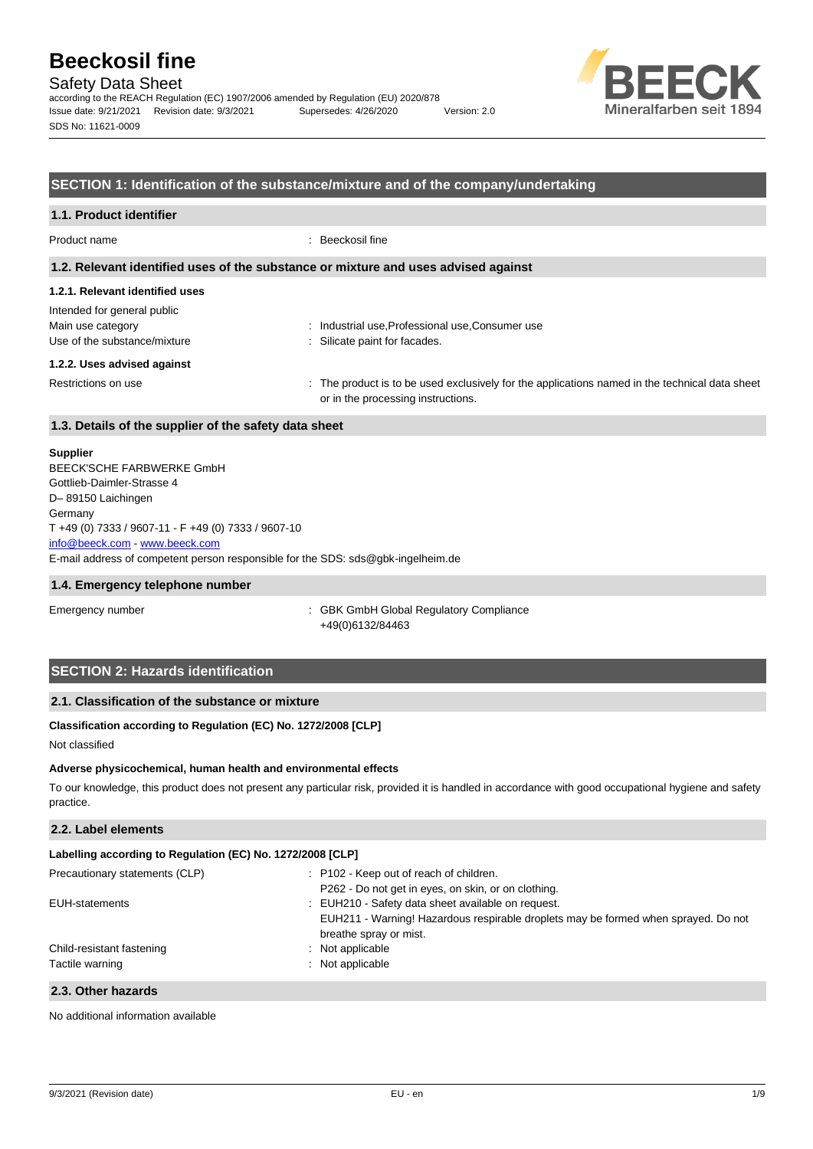## Safety Data Sheet

according to the REACH Regulation (EC) 1907/2006 amended by Regulation (EU) 2020/878 Issue date: 9/21/2021 Revision date: 9/3/2021 Supersedes: 4/26/2020 Version: 2.0 SDS No: 11621-0009



## **SECTION 1: Identification of the substance/mixture and of the company/undertaking**

| 1.1. Product identifier                               |                                                                                                                                      |  |  |
|-------------------------------------------------------|--------------------------------------------------------------------------------------------------------------------------------------|--|--|
| Product name                                          | Beeckosil fine                                                                                                                       |  |  |
|                                                       | 1.2. Relevant identified uses of the substance or mixture and uses advised against                                                   |  |  |
| 1.2.1. Relevant identified uses                       |                                                                                                                                      |  |  |
| Intended for general public                           |                                                                                                                                      |  |  |
| Main use category                                     | Industrial use, Professional use, Consumer use<br>÷                                                                                  |  |  |
| Use of the substance/mixture                          | Silicate paint for facades.                                                                                                          |  |  |
| 1.2.2. Uses advised against                           |                                                                                                                                      |  |  |
| Restrictions on use                                   | : The product is to be used exclusively for the applications named in the technical data sheet<br>or in the processing instructions. |  |  |
| 1.3. Details of the supplier of the safety data sheet |                                                                                                                                      |  |  |

#### **Supplier**

E-mail address of competent person responsible for the SDS: sds@gbk-ingelheim.de BEECK'SCHE FARBWERKE GmbH Gottlieb-Daimler-Strasse 4 D– 89150 Laichingen **Germany** T +49 (0) 7333 / 9607-11 - F +49 (0) 7333 / 9607-10 [info@beeck.com](mailto:info@beeck.com) - [www.beeck.com](http://www.beeck.com/)

#### **1.4. Emergency telephone number**

Emergency number **Emergency** number **1996** COMERGING COMPLIANCE: GBK GmbH Global Regulatory Compliance +49(0)6132/84463

## **SECTION 2: Hazards identification**

## **2.1. Classification of the substance or mixture**

## **Classification according to Regulation (EC) No. 1272/2008 [CLP]**

Not classified

#### **Adverse physicochemical, human health and environmental effects**

To our knowledge, this product does not present any particular risk, provided it is handled in accordance with good occupational hygiene and safety practice.

## **2.2. Label elements**

| Labelling according to Regulation (EC) No. 1272/2008 [CLP] |                                                                                                              |  |  |
|------------------------------------------------------------|--------------------------------------------------------------------------------------------------------------|--|--|
| Precautionary statements (CLP)                             | : P102 - Keep out of reach of children.                                                                      |  |  |
|                                                            | P262 - Do not get in eyes, on skin, or on clothing.                                                          |  |  |
| EUH-statements                                             | EUH210 - Safety data sheet available on request.                                                             |  |  |
|                                                            | EUH211 - Warning! Hazardous respirable droplets may be formed when sprayed. Do not<br>breathe spray or mist. |  |  |
| Child-resistant fastening                                  | : Not applicable                                                                                             |  |  |
| Tactile warning                                            | : Not applicable                                                                                             |  |  |
|                                                            |                                                                                                              |  |  |

#### **2.3. Other hazards**

No additional information available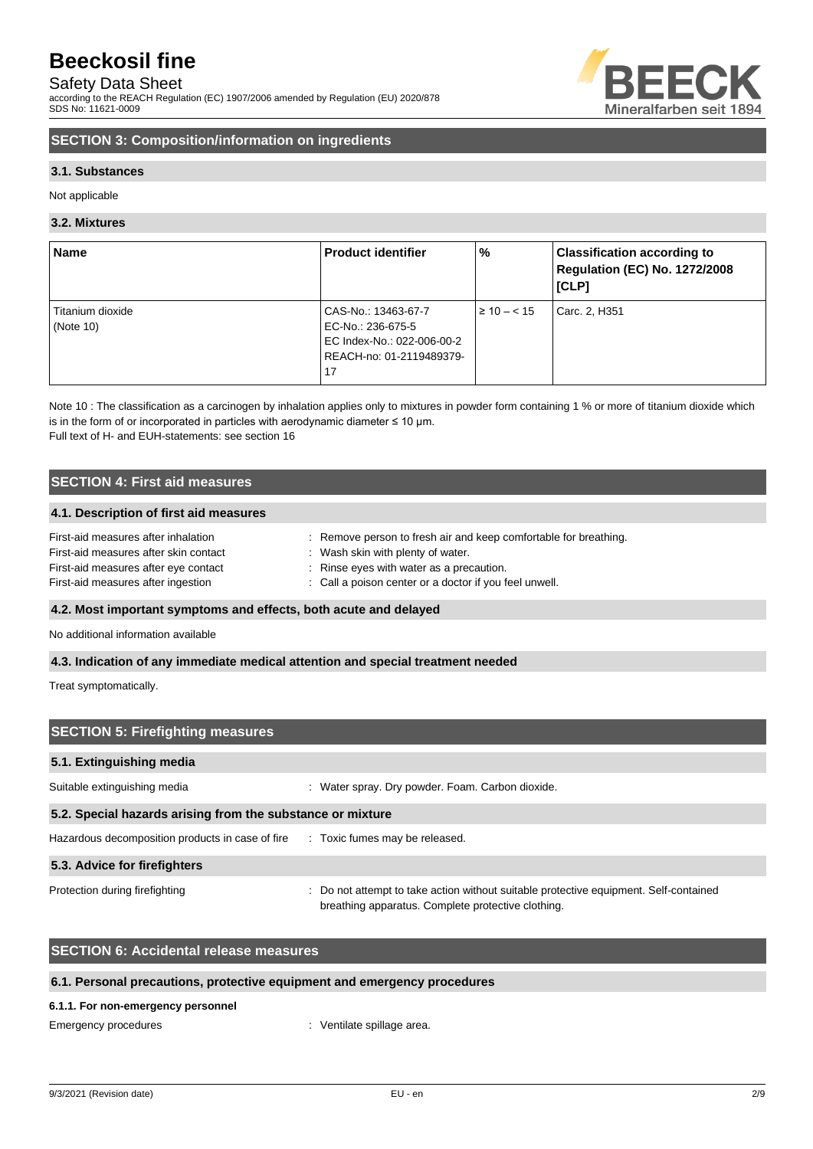## Safety Data Sheet

according to the REACH Regulation (EC) 1907/2006 amended by Regulation (EU) 2020/878 SDS No: 11621-0009



## **SECTION 3: Composition/information on ingredients**

## **3.1. Substances**

Not applicable

## **3.2. Mixtures**

| <b>Name</b>      | <b>Product identifier</b>  | %                | <b>Classification according to</b><br><b>Regulation (EC) No. 1272/2008</b><br>[CLP] |
|------------------|----------------------------|------------------|-------------------------------------------------------------------------------------|
| Titanium dioxide | CAS-No.: 13463-67-7        | $\geq 10 - < 15$ | Carc. 2, H351                                                                       |
| (Note 10)        | EC-No.: 236-675-5          |                  |                                                                                     |
|                  | EC Index-No.: 022-006-00-2 |                  |                                                                                     |
|                  | REACH-no: 01-2119489379-   |                  |                                                                                     |
|                  | 17                         |                  |                                                                                     |

Note 10 : The classification as a carcinogen by inhalation applies only to mixtures in powder form containing 1 % or more of titanium dioxide which is in the form of or incorporated in particles with aerodynamic diameter  $\leq 10$  µm. Full text of H- and EUH-statements: see section 16

## **SECTION 4: First aid measures**

## **4.1. Description of first aid measures**

| First-aid measures after inhalation   | Remove person to fresh air and keep comfortable for breathing. |
|---------------------------------------|----------------------------------------------------------------|
| First-aid measures after skin contact | : Wash skin with plenty of water.                              |
| First-aid measures after eye contact  | : Rinse eyes with water as a precaution.                       |
| First-aid measures after ingestion    | : Call a poison center or a doctor if you feel unwell.         |

## **4.2. Most important symptoms and effects, both acute and delayed**

No additional information available

## **4.3. Indication of any immediate medical attention and special treatment needed**

Treat symptomatically.

| <b>SECTION 5: Firefighting measures</b>                                         |                                                                                                                                             |  |  |  |
|---------------------------------------------------------------------------------|---------------------------------------------------------------------------------------------------------------------------------------------|--|--|--|
| 5.1. Extinguishing media                                                        |                                                                                                                                             |  |  |  |
| Suitable extinguishing media                                                    | Water spray. Dry powder. Foam. Carbon dioxide.<br>÷                                                                                         |  |  |  |
| 5.2. Special hazards arising from the substance or mixture                      |                                                                                                                                             |  |  |  |
| Hazardous decomposition products in case of fire : Toxic fumes may be released. |                                                                                                                                             |  |  |  |
| 5.3. Advice for firefighters                                                    |                                                                                                                                             |  |  |  |
| Protection during firefighting                                                  | : Do not attempt to take action without suitable protective equipment. Self-contained<br>breathing apparatus. Complete protective clothing. |  |  |  |

## **SECTION 6: Accidental release measures**

## **6.1. Personal precautions, protective equipment and emergency procedures**

#### **6.1.1. For non-emergency personnel**

Emergency procedures in the spillage area.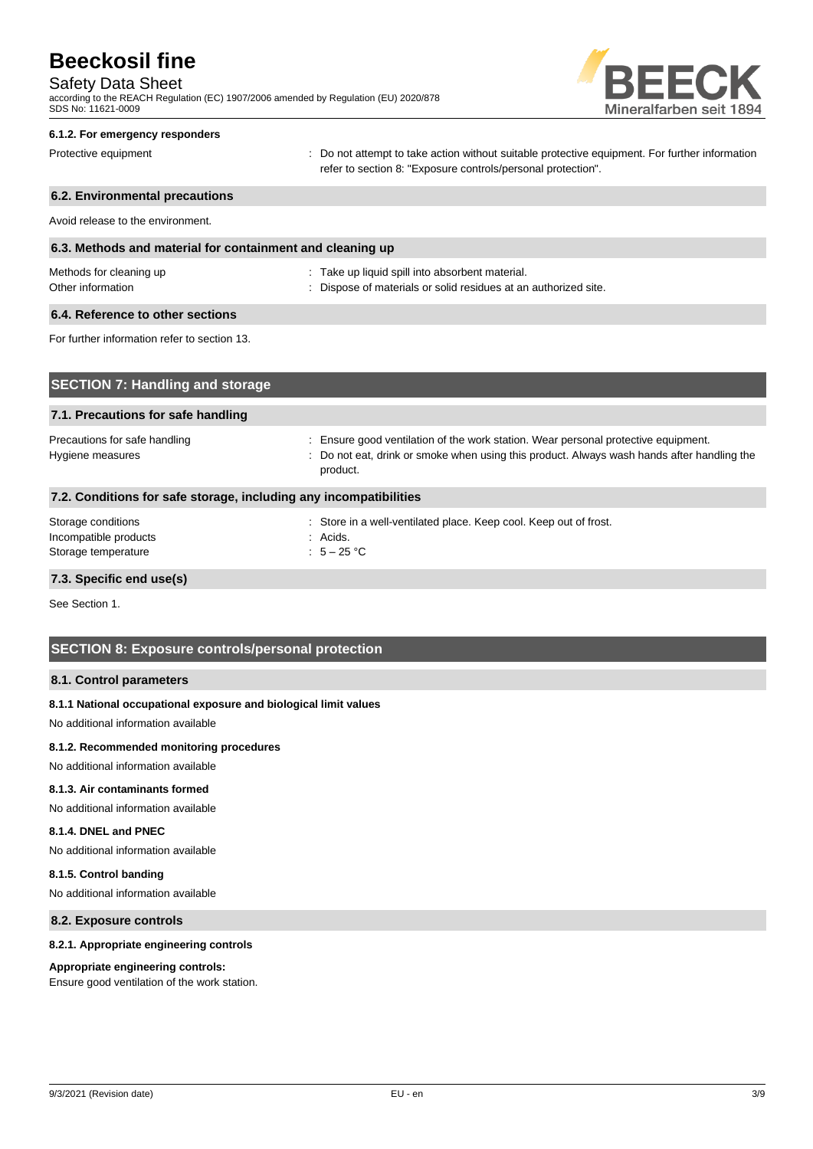## Safety Data Sheet

according to the REACH Regulation (EC) 1907/2006 amended by Regulation (EU) 2020/878 SDS No: 11621-0009



#### **6.1.2. For emergency responders**

Protective equipment **interprotective** content of the not attempt to take action without suitable protective equipment. For further information refer to section 8: "Exposure controls/personal protection".

# **6.2. Environmental precautions** Avoid release to the environment. **6.3. Methods and material for containment and cleaning up** Methods for cleaning up example and the state up liquid spill into absorbent material. Other information **contract of the contract of the Contract of Contract Standard Contract of Contract Contract Contract Standard Contract Contract Contract Contract Contract Contract Contract Contract Contract Contract Con 6.4. Reference to other sections** For further information refer to section 13. **SECTION 7: Handling and storage 7.1. Precautions for safe handling** Precautions for safe handling : Ensure good ventilation of the work station. Wear personal protective equipment.

Hygiene measures **included in the state of the state of the state of the state of the state of the state of the state of the state of the state of the state of the state of the state of the state of the state of the state** product.

## **7.2. Conditions for safe storage, including any incompatibilities** Storage conditions : Store in a well-ventilated place. Keep cool. Keep out of frost. Incompatible products in the set of the set of the set of the set of the set of the set of the set of the set of the set of the set of the set of the set of the set of the set of the set of the set of the set of the set of Storage temperature  $\overline{5} - 25$  °C

## **7.3. Specific end use(s)**

See Section 1.

## **SECTION 8: Exposure controls/personal protection**

## **8.1. Control parameters**

## **8.1.1 National occupational exposure and biological limit values**

No additional information available

## **8.1.2. Recommended monitoring procedures**

No additional information available

#### **8.1.3. Air contaminants formed**

No additional information available

#### **8.1.4. DNEL and PNEC**

No additional information available

## **8.1.5. Control banding**

No additional information available

#### **8.2. Exposure controls**

## **8.2.1. Appropriate engineering controls**

#### **Appropriate engineering controls:**

Ensure good ventilation of the work station.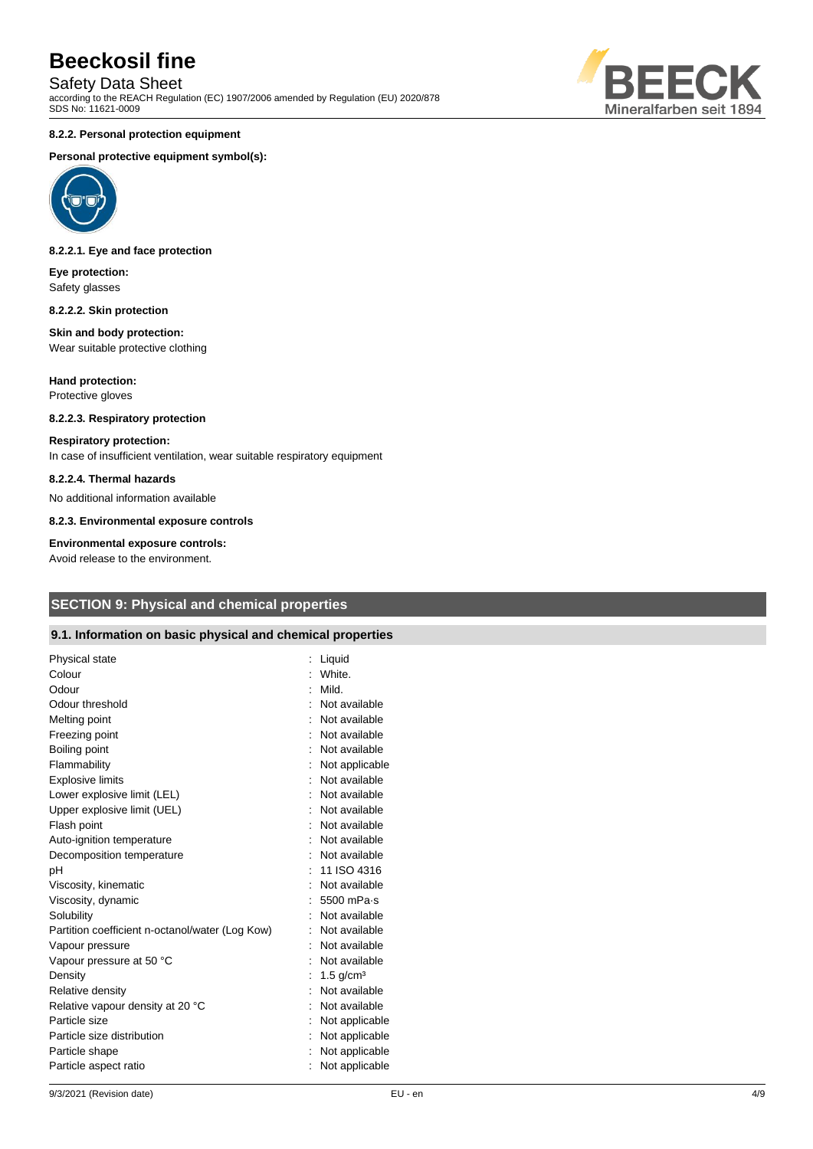## Safety Data Sheet

according to the REACH Regulation (EC) 1907/2006 amended by Regulation (EU) 2020/878 SDS No: 11621-0009



#### **8.2.2. Personal protection equipment**

#### **Personal protective equipment symbol(s):**



#### **8.2.2.1. Eye and face protection**

**Eye protection:** Safety glasses

#### **8.2.2.2. Skin protection**

#### **Skin and body protection:** Wear suitable protective clothing

**Hand protection:** Protective gloves

# **8.2.2.3. Respiratory protection**

#### **Respiratory protection:**

In case of insufficient ventilation, wear suitable respiratory equipment

#### **8.2.2.4. Thermal hazards**

No additional information available

**8.2.3. Environmental exposure controls**

#### **Environmental exposure controls:**

Avoid release to the environment.

## **SECTION 9: Physical and chemical properties**

## **9.1. Information on basic physical and chemical properties**

| Physical state                                  | Liquid                  |
|-------------------------------------------------|-------------------------|
| Colour                                          | White.                  |
| Odour                                           | Mild.                   |
| Odour threshold                                 | Not available           |
| Melting point                                   | Not available           |
| Freezing point                                  | Not available           |
| Boiling point                                   | : Not available         |
| Flammability                                    | Not applicable          |
| <b>Explosive limits</b>                         | Not available           |
| Lower explosive limit (LEL)                     | Not available           |
| Upper explosive limit (UEL)                     | Not available           |
| Flash point                                     | Not available           |
| Auto-ignition temperature                       | : Not available         |
| Decomposition temperature                       | Not available           |
| pH                                              | 11 ISO 4316             |
| Viscosity, kinematic                            | Not available           |
| Viscosity, dynamic                              | 5500 mPa-s              |
| Solubility                                      | Not available           |
| Partition coefficient n-octanol/water (Log Kow) | Not available           |
| Vapour pressure                                 | Not available           |
| Vapour pressure at 50 °C                        | Not available           |
| Density                                         | $1.5$ g/cm <sup>3</sup> |
| Relative density                                | Not available           |
| Relative vapour density at 20 °C                | Not available           |
| Particle size                                   | Not applicable          |
| Particle size distribution                      | Not applicable          |
| Particle shape                                  | Not applicable          |
| Particle aspect ratio                           | Not applicable          |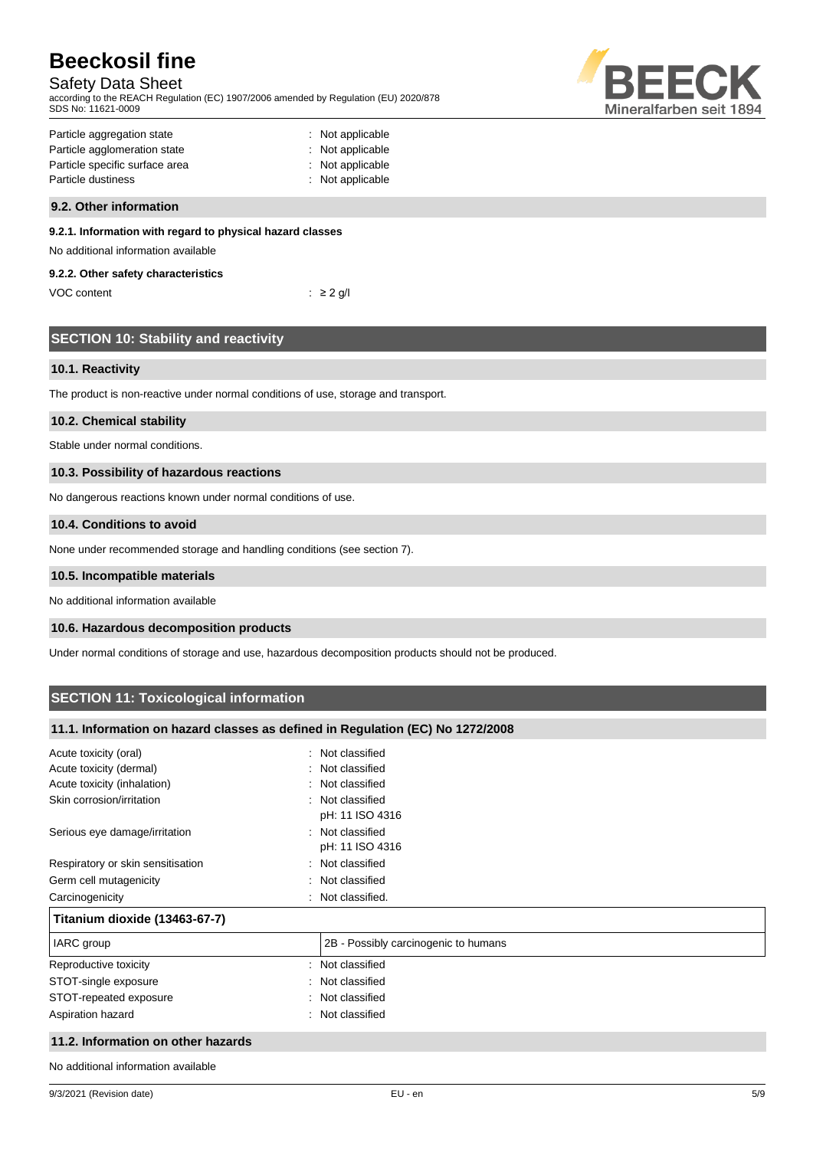# Safety Data Sheet

according to the REACH Regulation (EC) 1907/2006 amended by Regulation (EU) 2020/878 SDS No: 11621-0009



| Particle aggregation state     | : Not applicable |
|--------------------------------|------------------|
| Particle agglomeration state   | : Not applicable |
| Particle specific surface area | : Not applicable |
| Particle dustiness             | : Not applicable |
|                                |                  |

## **9.2. Other information**

## **9.2.1. Information with regard to physical hazard classes**

No additional information available

### **9.2.2. Other safety characteristics**

| VOC content | $\therefore$ 2 g/l |
|-------------|--------------------|
|-------------|--------------------|

|  | <b>SECTION 10: Stability and reactivity</b> |
|--|---------------------------------------------|

## **10.1. Reactivity**

The product is non-reactive under normal conditions of use, storage and transport.

## **10.2. Chemical stability**

Stable under normal conditions.

## **10.3. Possibility of hazardous reactions**

No dangerous reactions known under normal conditions of use.

#### **10.4. Conditions to avoid**

None under recommended storage and handling conditions (see section 7).

## **10.5. Incompatible materials**

No additional information available

## **10.6. Hazardous decomposition products**

Under normal conditions of storage and use, hazardous decomposition products should not be produced.

## **SECTION 11: Toxicological information**

## **11.1. Information on hazard classes as defined in Regulation (EC) No 1272/2008**

| Acute toxicity (oral)<br>۰.        | Not classified                       |
|------------------------------------|--------------------------------------|
| Acute toxicity (dermal)            | : Not classified                     |
| Acute toxicity (inhalation)        | : Not classified                     |
| Skin corrosion/irritation          | : Not classified<br>pH: 11 ISO 4316  |
| Serious eye damage/irritation      | : Not classified<br>pH: 11 ISO 4316  |
| Respiratory or skin sensitisation  | : Not classified                     |
| Germ cell mutagenicity<br>÷.       | Not classified                       |
| Carcinogenicity                    | Not classified.                      |
| Titanium dioxide (13463-67-7)      |                                      |
| IARC group                         | 2B - Possibly carcinogenic to humans |
| Reproductive toxicity              | : Not classified                     |
| STOT-single exposure               | : Not classified                     |
| STOT-repeated exposure             | : Not classified                     |
| Aspiration hazard                  | : Not classified                     |
| 11.2. Information on other hazards |                                      |

No additional information available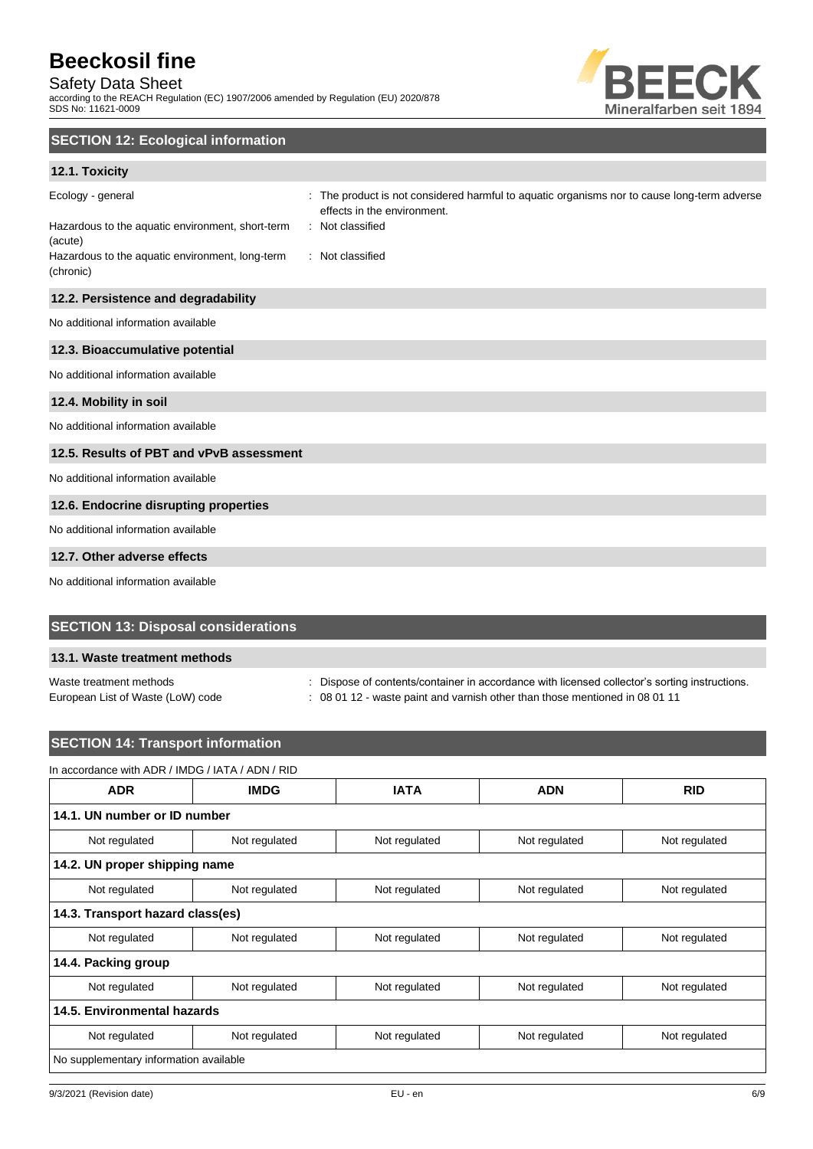# Safety Data Sheet

according to the REACH Regulation (EC) 1907/2006 amended by Regulation (EU) 2020/878 SDS No: 11621-0009



## **SECTION 12: Ecological information**

## **12.1. Toxicity**

| Ecology - general                                            | The product is not considered harmful to aquatic organisms nor to cause long-term adverse<br>effects in the environment. |
|--------------------------------------------------------------|--------------------------------------------------------------------------------------------------------------------------|
| Hazardous to the aquatic environment, short-term<br>(acute)  | : Not classified                                                                                                         |
| Hazardous to the aquatic environment, long-term<br>(chronic) | : Not classified                                                                                                         |
| 12.2. Persistence and degradability                          |                                                                                                                          |
| No additional information available                          |                                                                                                                          |
| 12.3. Bioaccumulative potential                              |                                                                                                                          |
| No additional information available                          |                                                                                                                          |
| 12.4. Mobility in soil                                       |                                                                                                                          |
| No additional information available                          |                                                                                                                          |
| 12.5. Results of PBT and vPvB assessment                     |                                                                                                                          |
| No additional information available                          |                                                                                                                          |
| 12.6. Endocrine disrupting properties                        |                                                                                                                          |
| No additional information available                          |                                                                                                                          |
| 12.7. Other adverse effects                                  |                                                                                                                          |

No additional information available

## **SECTION 13: Disposal considerations**

## **13.1. Waste treatment methods**

Waste treatment methods : Dispose of contents/container in accordance with licensed collector's sorting instructions.

European List of Waste (LoW) code : 08 01 12 - waste paint and varnish other than those mentioned in 08 01 11

## **SECTION 14: Transport information**

# In accordance with ADR / IMDG / IATA / ADN / RID

| <b>ADR</b>                             | <b>IMDG</b>   | <b>IATA</b>   | <b>ADN</b>    | <b>RID</b>    |  |
|----------------------------------------|---------------|---------------|---------------|---------------|--|
| 14.1. UN number or ID number           |               |               |               |               |  |
| Not regulated                          | Not regulated | Not regulated | Not regulated | Not regulated |  |
| 14.2. UN proper shipping name          |               |               |               |               |  |
| Not regulated                          | Not regulated | Not regulated | Not regulated | Not regulated |  |
| 14.3. Transport hazard class(es)       |               |               |               |               |  |
| Not regulated                          | Not regulated | Not regulated | Not regulated | Not regulated |  |
| 14.4. Packing group                    |               |               |               |               |  |
| Not regulated                          | Not regulated | Not regulated | Not regulated | Not regulated |  |
| 14.5. Environmental hazards            |               |               |               |               |  |
| Not regulated                          | Not regulated | Not regulated | Not regulated | Not regulated |  |
| No supplementary information available |               |               |               |               |  |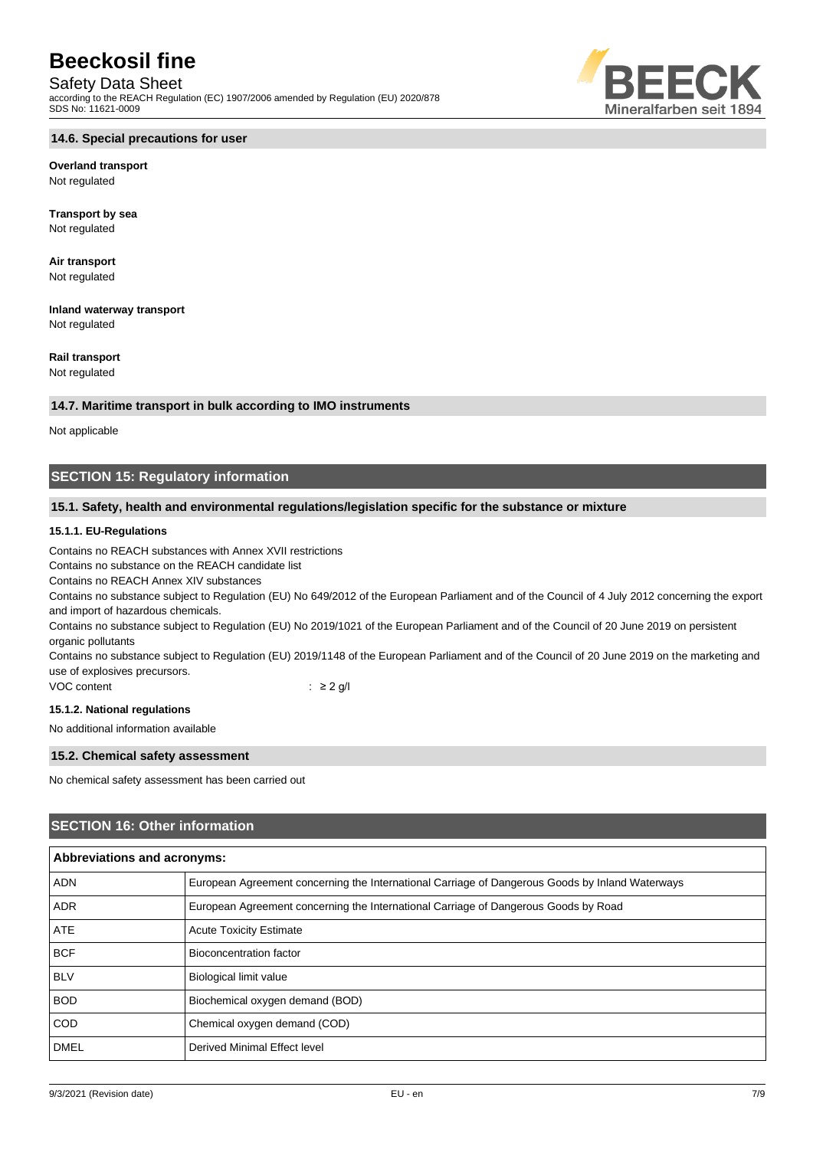## Safety Data Sheet

according to the REACH Regulation (EC) 1907/2006 amended by Regulation (EU) 2020/878 SDS No: 11621-0009



**Overland transport** Not regulated

**Transport by sea** Not regulated

**Air transport** Not regulated

**Inland waterway transport** Not regulated

**Rail transport**

Not regulated

## **14.7. Maritime transport in bulk according to IMO instruments**

Not applicable

## **SECTION 15: Regulatory information**

## **15.1. Safety, health and environmental regulations/legislation specific for the substance or mixture**

## **15.1.1. EU-Regulations**

Contains no REACH substances with Annex XVII restrictions

Contains no substance on the REACH candidate list

Contains no REACH Annex XIV substances

Contains no substance subject to Regulation (EU) No 649/2012 of the European Parliament and of the Council of 4 July 2012 concerning the export and import of hazardous chemicals.

Contains no substance subject to Regulation (EU) No 2019/1021 of the European Parliament and of the Council of 20 June 2019 on persistent organic pollutants

Contains no substance subject to Regulation (EU) 2019/1148 of the European Parliament and of the Council of 20 June 2019 on the marketing and use of explosives precursors.

VOC content : ≥ 2 g/l

## **15.1.2. National regulations**

No additional information available

#### **15.2. Chemical safety assessment**

No chemical safety assessment has been carried out

## **SECTION 16: Other information**

| Abbreviations and acronyms: |                                                                                                 |  |
|-----------------------------|-------------------------------------------------------------------------------------------------|--|
| <b>ADN</b>                  | European Agreement concerning the International Carriage of Dangerous Goods by Inland Waterways |  |
| <b>ADR</b>                  | European Agreement concerning the International Carriage of Dangerous Goods by Road             |  |
| <b>ATE</b>                  | <b>Acute Toxicity Estimate</b>                                                                  |  |
| <b>BCF</b>                  | Bioconcentration factor                                                                         |  |
| <b>BLV</b>                  | <b>Biological limit value</b>                                                                   |  |
| <b>BOD</b>                  | Biochemical oxygen demand (BOD)                                                                 |  |
| <b>COD</b>                  | Chemical oxygen demand (COD)                                                                    |  |
| <b>DMEL</b>                 | Derived Minimal Effect level                                                                    |  |

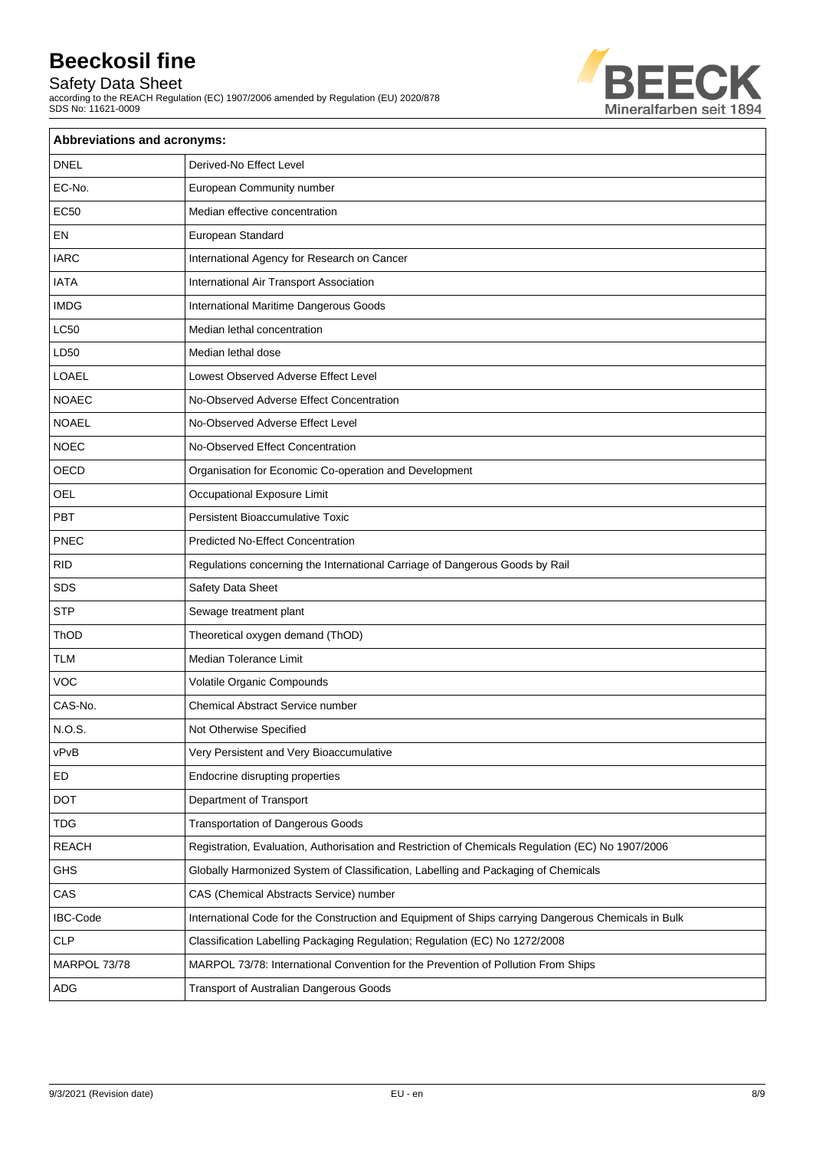## Safety Data Sheet

according to the REACH Regulation (EC) 1907/2006 amended by Regulation (EU) 2020/878 SDS No: 11621-0009



| <b>Abbreviations and acronyms:</b> |                                                                                                     |  |
|------------------------------------|-----------------------------------------------------------------------------------------------------|--|
| <b>DNEL</b>                        | Derived-No Effect Level                                                                             |  |
| EC-No.                             | European Community number                                                                           |  |
| <b>EC50</b>                        | Median effective concentration                                                                      |  |
| EN                                 | European Standard                                                                                   |  |
| <b>IARC</b>                        | International Agency for Research on Cancer                                                         |  |
| <b>IATA</b>                        | International Air Transport Association                                                             |  |
| <b>IMDG</b>                        | International Maritime Dangerous Goods                                                              |  |
| <b>LC50</b>                        | Median lethal concentration                                                                         |  |
| LD50                               | Median lethal dose                                                                                  |  |
| <b>LOAEL</b>                       | Lowest Observed Adverse Effect Level                                                                |  |
| <b>NOAEC</b>                       | No-Observed Adverse Effect Concentration                                                            |  |
| <b>NOAEL</b>                       | No-Observed Adverse Effect Level                                                                    |  |
| <b>NOEC</b>                        | No-Observed Effect Concentration                                                                    |  |
| OECD                               | Organisation for Economic Co-operation and Development                                              |  |
| <b>OEL</b>                         | Occupational Exposure Limit                                                                         |  |
| PBT                                | <b>Persistent Bioaccumulative Toxic</b>                                                             |  |
| PNEC                               | <b>Predicted No-Effect Concentration</b>                                                            |  |
| <b>RID</b>                         | Regulations concerning the International Carriage of Dangerous Goods by Rail                        |  |
| <b>SDS</b>                         | Safety Data Sheet                                                                                   |  |
| <b>STP</b>                         | Sewage treatment plant                                                                              |  |
| ThOD                               | Theoretical oxygen demand (ThOD)                                                                    |  |
| <b>TLM</b>                         | <b>Median Tolerance Limit</b>                                                                       |  |
| <b>VOC</b>                         | Volatile Organic Compounds                                                                          |  |
| CAS-No.                            | Chemical Abstract Service number                                                                    |  |
| N.O.S.                             | Not Otherwise Specified                                                                             |  |
| vPvB                               | Very Persistent and Very Bioaccumulative                                                            |  |
| ED                                 | Endocrine disrupting properties                                                                     |  |
| DOT                                | Department of Transport                                                                             |  |
| <b>TDG</b>                         | <b>Transportation of Dangerous Goods</b>                                                            |  |
| <b>REACH</b>                       | Registration, Evaluation, Authorisation and Restriction of Chemicals Regulation (EC) No 1907/2006   |  |
| <b>GHS</b>                         | Globally Harmonized System of Classification, Labelling and Packaging of Chemicals                  |  |
| CAS                                | CAS (Chemical Abstracts Service) number                                                             |  |
| <b>IBC-Code</b>                    | International Code for the Construction and Equipment of Ships carrying Dangerous Chemicals in Bulk |  |
| <b>CLP</b>                         | Classification Labelling Packaging Regulation; Regulation (EC) No 1272/2008                         |  |
| MARPOL 73/78                       | MARPOL 73/78: International Convention for the Prevention of Pollution From Ships                   |  |
| ADG                                | Transport of Australian Dangerous Goods                                                             |  |